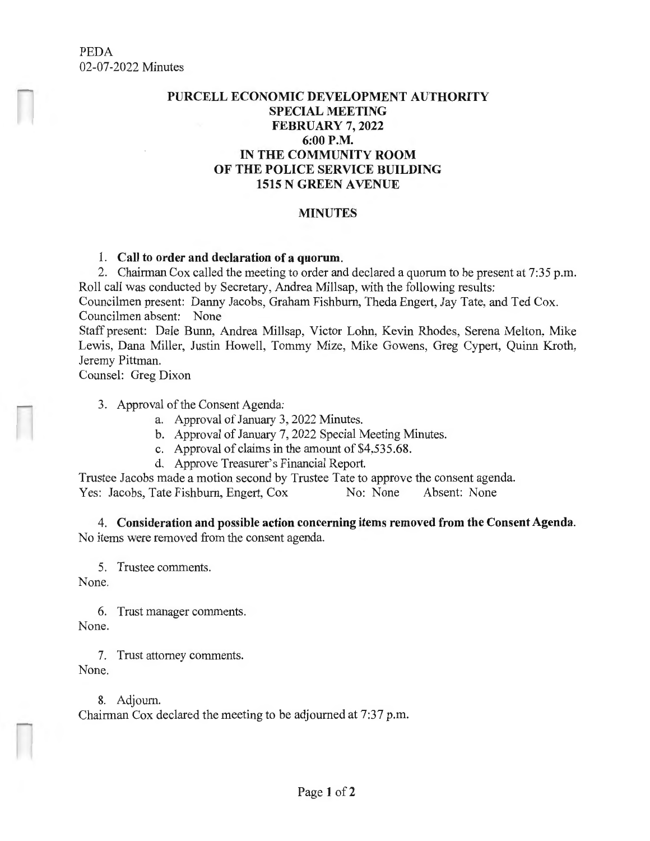## **PURCELL ECONOMIC DEVELOPMENT AUTHORITY SPECIAL MEETING FEBRUARY 7, 2022 6:00P.M. IN THE COMMUNITY ROOM OF THE POLICE SERVICE BUILDING 1515 N GREEN A VENUE**

## **MINUTES**

## 1. **Call to order and declaration of a quorum.**

2. Chairman Cox called the meeting to order and declared a quorum to be present at 7:35 p.m. Roll call was conducted by Secretary, Andrea Millsap, with the following results:

Councilmen present: Danny Jacobs, Graham Fishburn, Theda Engert, Jay Tate, and Ted Cox. Councilmen absent: None

Staff present: Dale Bunn, Andrea Millsap, Victor Lohn, Kevin Rhodes, Serena Melton, Mike Lewis, Dana Miller, Justin Howell, Tommy Mize, Mike Gowens, Greg Cypert, Quinn Kroth, Jeremy Pittman.

Counsel: Greg Dixon

3. Approval of the Consent Agenda:

- a. Approval of January 3, 2022 Minutes.
- b. Approval of January 7, 2022 Special Meeting Minutes.
- c. Approval of claims in the amount of \$4,535.68.
- d. Approve Treasurer's Financial Report.

Trustee Jacobs made a motion second by Trustee Tate to approve the consent agenda.<br>
Yes: Jacobs. Tate Fishburn. Engert. Cox No: None Absent: None Yes: Jacobs, Tate Fishburn, Engert, Cox No: None

4. **Consideration and possible action concerning items removed from the Consent Agenda.**  No items were removed from the consent agenda.

5. Trustee comments.

None.

6. Trust manager comments. None.

7. Trust attorney comments. None.

8. Adjourn. Chairman Cox declared the meeting to be adjourned at 7:37 p.m.